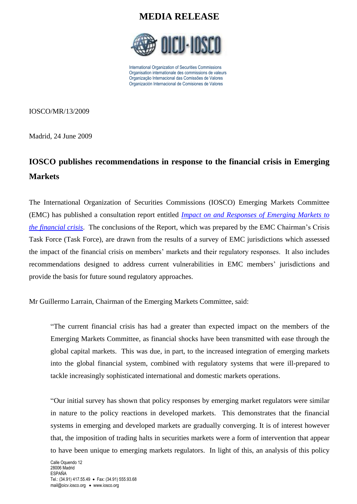

International Organization of Securities Commissions Organisation internationale des commissions de valeurs Organização Internacional das Comissões de Valores Organización Internacional de Comisiones de Valores

IOSCO/MR/13/2009

Madrid, 24 June 2009

# **IOSCO publishes recommendations in response to the financial crisis in Emerging Markets**

The International Organization of Securities Commissions (IOSCO) Emerging Markets Committee (EMC) has published a consultation report entitled *[Impact on and Responses of Emerging Markets to](http://www.iosco.org/library/pubdocs/pdf/IOSCOPD294.pdf)  [the financial crisis](http://www.iosco.org/library/pubdocs/pdf/IOSCOPD294.pdf)*. The conclusions of the Report, which was prepared by the EMC Chairman's Crisis Task Force (Task Force), are drawn from the results of a survey of EMC jurisdictions which assessed the impact of the financial crisis on members' markets and their regulatory responses. It also includes recommendations designed to address current vulnerabilities in EMC members' jurisdictions and provide the basis for future sound regulatory approaches.

Mr Guillermo Larrain, Chairman of the Emerging Markets Committee, said:

"The current financial crisis has had a greater than expected impact on the members of the Emerging Markets Committee, as financial shocks have been transmitted with ease through the global capital markets. This was due, in part, to the increased integration of emerging markets into the global financial system, combined with regulatory systems that were ill-prepared to tackle increasingly sophisticated international and domestic markets operations.

"Our initial survey has shown that policy responses by emerging market regulators were similar in nature to the policy reactions in developed markets. This demonstrates that the financial systems in emerging and developed markets are gradually converging. It is of interest however that, the imposition of trading halts in securities markets were a form of intervention that appear to have been unique to emerging markets regulators. In light of this, an analysis of this policy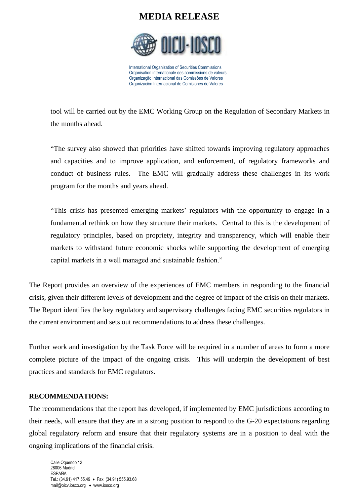

International Organization of Securities Commissions Organisation internationale des commissions de valeurs Organização Internacional das Comissões de Valores Organización Internacional de Comisiones de Valores

tool will be carried out by the EMC Working Group on the Regulation of Secondary Markets in the months ahead.

"The survey also showed that priorities have shifted towards improving regulatory approaches and capacities and to improve application, and enforcement, of regulatory frameworks and conduct of business rules. The EMC will gradually address these challenges in its work program for the months and years ahead.

"This crisis has presented emerging markets' regulators with the opportunity to engage in a fundamental rethink on how they structure their markets. Central to this is the development of regulatory principles, based on propriety, integrity and transparency, which will enable their markets to withstand future economic shocks while supporting the development of emerging capital markets in a well managed and sustainable fashion."

The Report provides an overview of the experiences of EMC members in responding to the financial crisis, given their different levels of development and the degree of impact of the crisis on their markets. The Report identifies the key regulatory and supervisory challenges facing EMC securities regulators in the current environment and sets out recommendations to address these challenges.

Further work and investigation by the Task Force will be required in a number of areas to form a more complete picture of the impact of the ongoing crisis. This will underpin the development of best practices and standards for EMC regulators.

#### **RECOMMENDATIONS:**

The recommendations that the report has developed, if implemented by EMC jurisdictions according to their needs, will ensure that they are in a strong position to respond to the G-20 expectations regarding global regulatory reform and ensure that their regulatory systems are in a position to deal with the ongoing implications of the financial crisis.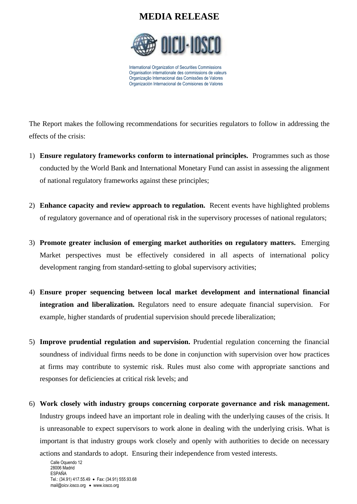

International Organization of Securities Commissions Organisation internationale des commissions de valeurs Organização Internacional das Comissões de Valores Organización Internacional de Comisiones de Valores

The Report makes the following recommendations for securities regulators to follow in addressing the effects of the crisis:

- 1) **Ensure regulatory frameworks conform to international principles.** Programmes such as those conducted by the World Bank and International Monetary Fund can assist in assessing the alignment of national regulatory frameworks against these principles;
- 2) **Enhance capacity and review approach to regulation.** Recent events have highlighted problems of regulatory governance and of operational risk in the supervisory processes of national regulators;
- 3) **Promote greater inclusion of emerging market authorities on regulatory matters.** Emerging Market perspectives must be effectively considered in all aspects of international policy development ranging from standard-setting to global supervisory activities;
- 4) **Ensure proper sequencing between local market development and international financial integration and liberalization.** Regulators need to ensure adequate financial supervision. For example, higher standards of prudential supervision should precede liberalization;
- 5) **Improve prudential regulation and supervision.** Prudential regulation concerning the financial soundness of individual firms needs to be done in conjunction with supervision over how practices at firms may contribute to systemic risk. Rules must also come with appropriate sanctions and responses for deficiencies at critical risk levels; and
- 6) **Work closely with industry groups concerning corporate governance and risk management.** Industry groups indeed have an important role in dealing with the underlying causes of the crisis. It is unreasonable to expect supervisors to work alone in dealing with the underlying crisis. What is important is that industry groups work closely and openly with authorities to decide on necessary actions and standards to adopt. Ensuring their independence from vested interests.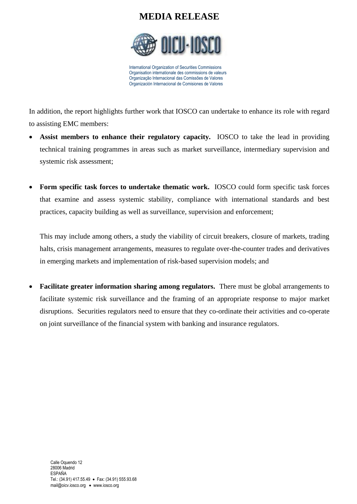

International Organization of Securities Commissions Organisation internationale des commissions de valeurs Organização Internacional das Comissões de Valores Organización Internacional de Comisiones de Valores

In addition, the report highlights further work that IOSCO can undertake to enhance its role with regard to assisting EMC members:

- **Assist members to enhance their regulatory capacity.** IOSCO to take the lead in providing technical training programmes in areas such as market surveillance, intermediary supervision and systemic risk assessment;
- **Form specific task forces to undertake thematic work.** IOSCO could form specific task forces that examine and assess systemic stability, compliance with international standards and best practices, capacity building as well as surveillance, supervision and enforcement;

This may include among others, a study the viability of circuit breakers, closure of markets, trading halts, crisis management arrangements, measures to regulate over-the-counter trades and derivatives in emerging markets and implementation of risk-based supervision models; and

 **Facilitate greater information sharing among regulators.** There must be global arrangements to facilitate systemic risk surveillance and the framing of an appropriate response to major market disruptions. Securities regulators need to ensure that they co-ordinate their activities and co-operate on joint surveillance of the financial system with banking and insurance regulators.